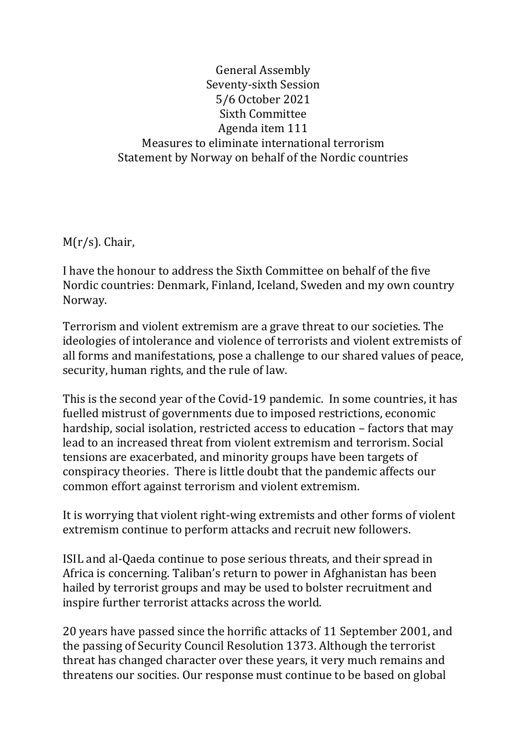#### General Assembly Seventy-sixth Session 5/6 October 2021 Sixth Committee Agenda item 111 Measures to eliminate international terrorism Statement by Norway on behalf of the Nordic countries

M(r/s). Chair,

I have the honour to address the Sixth Committee on behalf of the five Nordic countries: Denmark, Finland, Iceland, Sweden and my own country Norway.

Terrorism and violent extremism are a grave threat to our societies. The ideologies of intolerance and violence of terrorists and violent extremists of all forms and manifestations, pose a challenge to our shared values of peace, security, human rights, and the rule of law.

This is the second year of the Covid-19 pandemic. In some countries, it has fuelled mistrust of governments due to imposed restrictions, economic hardship, social isolation, restricted access to education – factors that may lead to an increased threat from violent extremism and terrorism. Social tensions are exacerbated, and minority groups have been targets of conspiracy theories. There is little doubt that the pandemic affects our common effort against terrorism and violent extremism.

It is worrying that violent right-wing extremists and other forms of violent extremism continue to perform attacks and recruit new followers.

ISIL and al-Qaeda continue to pose serious threats, and their spread in Africa is concerning. Taliban's return to power in Afghanistan has been hailed by terrorist groups and may be used to bolster recruitment and inspire further terrorist attacks across the world.

20 years have passed since the horrific attacks of 11 September 2001, and the passing of Security Council Resolution 1373. Although the terrorist threat has changed character over these years, it very much remains and threatens our socities. Our response must continue to be based on global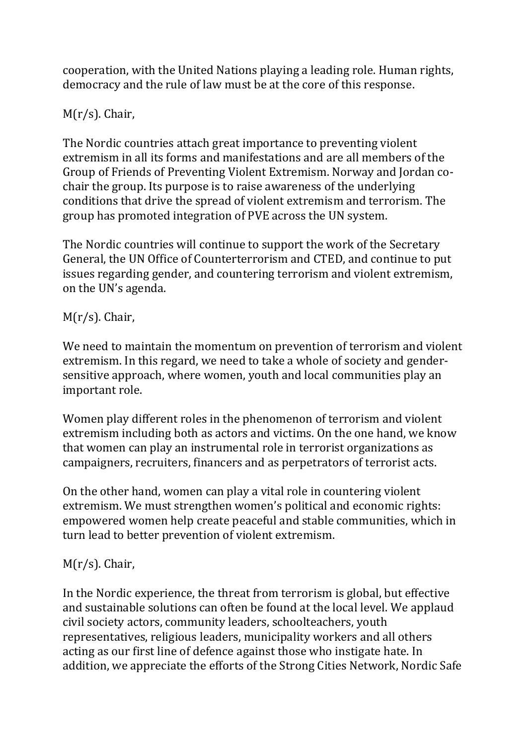cooperation, with the United Nations playing a leading role. Human rights, democracy and the rule of law must be at the core of this response.

# M(r/s). Chair,

The Nordic countries attach great importance to preventing violent extremism in all its forms and manifestations and are all members of the Group of Friends of Preventing Violent Extremism. Norway and Jordan cochair the group. Its purpose is to raise awareness of the underlying conditions that drive the spread of violent extremism and terrorism. The group has promoted integration of PVE across the UN system.

The Nordic countries will continue to support the work of the Secretary General, the UN Office of Counterterrorism and CTED, and continue to put issues regarding gender, and countering terrorism and violent extremism, on the UN's agenda.

## M(r/s). Chair,

We need to maintain the momentum on prevention of terrorism and violent extremism. In this regard, we need to take a whole of society and gendersensitive approach, where women, youth and local communities play an important role.

Women play different roles in the phenomenon of terrorism and violent extremism including both as actors and victims. On the one hand, we know that women can play an instrumental role in terrorist organizations as campaigners, recruiters, financers and as perpetrators of terrorist acts.

On the other hand, women can play a vital role in countering violent extremism. We must strengthen women's political and economic rights: empowered women help create peaceful and stable communities, which in turn lead to better prevention of violent extremism.

## M(r/s). Chair,

In the Nordic experience, the threat from terrorism is global, but effective and sustainable solutions can often be found at the local level. We applaud civil society actors, community leaders, schoolteachers, youth representatives, religious leaders, municipality workers and all others acting as our first line of defence against those who instigate hate. In addition, we appreciate the efforts of the Strong Cities Network, Nordic Safe